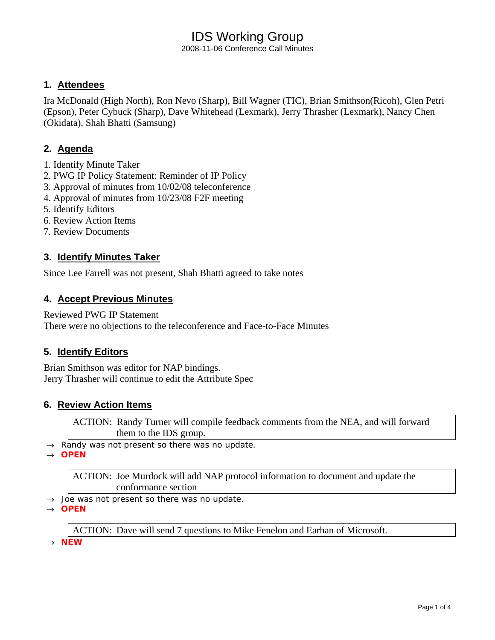2008-11-06 Conference Call Minutes

### **1. Attendees**

Ira McDonald (High North), Ron Nevo (Sharp), Bill Wagner (TIC), Brian Smithson(Ricoh), Glen Petri (Epson), Peter Cybuck (Sharp), Dave Whitehead (Lexmark), Jerry Thrasher (Lexmark), Nancy Chen (Okidata), Shah Bhatti (Samsung)

### **2. Agenda**

- 1. Identify Minute Taker
- 2. PWG IP Policy Statement: Reminder of IP Policy
- 3. Approval of minutes from 10/02/08 teleconference
- 4. Approval of minutes from 10/23/08 F2F meeting
- 5. Identify Editors
- 6. Review Action Items
- 7. Review Documents

### **3. Identify Minutes Taker**

Since Lee Farrell was not present, Shah Bhatti agreed to take notes

### **4. Accept Previous Minutes**

Reviewed PWG IP Statement There were no objections to the teleconference and Face-to-Face Minutes

### **5. Identify Editors**

Brian Smithson was editor for NAP bindings. Jerry Thrasher will continue to edit the Attribute Spec

### **6. Review Action Items**

ACTION: Randy Turner will compile feedback comments from the NEA, and will forward them to the IDS group.

→ *Randy was not present so there was no update.* 

→ *OPEN* 

ACTION: Joe Murdock will add NAP protocol information to document and update the conformance section

→ *Joe was not present so there was no update.* 

→ *OPEN* 

ACTION: Dave will send 7 questions to Mike Fenelon and Earhan of Microsoft.

→ *NEW*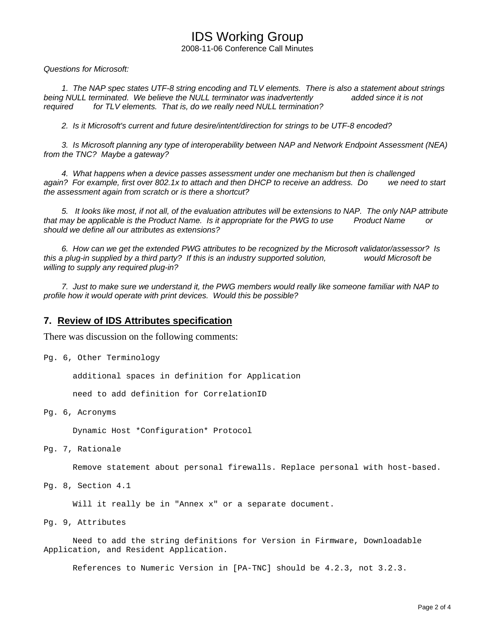2008-11-06 Conference Call Minutes

*Questions for Microsoft:* 

 *1. The NAP spec states UTF-8 string encoding and TLV elements. There is also a statement about strings being NULL terminated. We believe the NULL terminator was inadvertently added since it is not required for TLV elements. That is, do we really need NULL termination?* 

 *2. Is it Microsoft's current and future desire/intent/direction for strings to be UTF-8 encoded?* 

 *3. Is Microsoft planning any type of interoperability between NAP and Network Endpoint Assessment (NEA) from the TNC? Maybe a gateway?* 

 *4. What happens when a device passes assessment under one mechanism but then is challenged again? For example, first over 802.1x to attach and then DHCP to receive an address. Do we need to start the assessment again from scratch or is there a shortcut?* 

 *5. It looks like most, if not all, of the evaluation attributes will be extensions to NAP. The only NAP attribute that may be applicable is the Product Name. Is it appropriate for the PWG to use Product Name or should we define all our attributes as extensions?* 

 *6. How can we get the extended PWG attributes to be recognized by the Microsoft validator/assessor? Is this a plug-in supplied by a third party? If this is an industry supported solution, would Microsoft be willing to supply any required plug-in?* 

 *7. Just to make sure we understand it, the PWG members would really like someone familiar with NAP to profile how it would operate with print devices. Would this be possible?*

#### **7. Review of IDS Attributes specification**

There was discussion on the following comments:

Pg. 6, Other Terminology

additional spaces in definition for Application

need to add definition for CorrelationID

Pg. 6, Acronyms

Dynamic Host \*Configuration\* Protocol

Pg. 7, Rationale

Remove statement about personal firewalls. Replace personal with host-based.

Pg. 8, Section 4.1

Will it really be in "Annex x" or a separate document.

Pg. 9, Attributes

 Need to add the string definitions for Version in Firmware, Downloadable Application, and Resident Application.

References to Numeric Version in [PA-TNC] should be 4.2.3, not 3.2.3.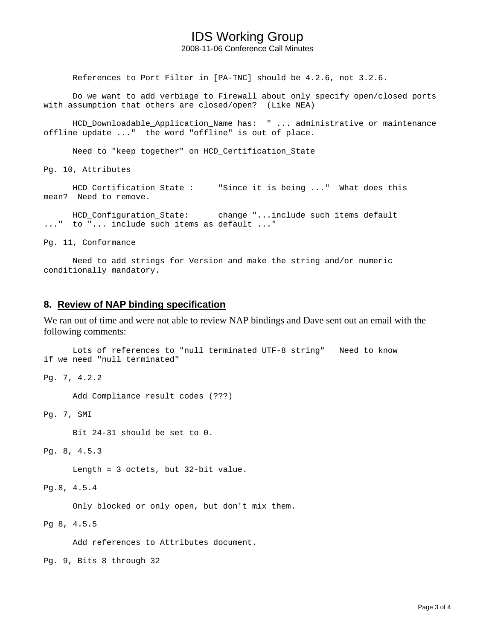2008-11-06 Conference Call Minutes

References to Port Filter in [PA-TNC] should be 4.2.6, not 3.2.6.

 Do we want to add verbiage to Firewall about only specify open/closed ports with assumption that others are closed/open? (Like NEA)

 HCD\_Downloadable\_Application\_Name has: " ... administrative or maintenance offline update ..." the word "offline" is out of place.

Need to "keep together" on HCD\_Certification\_State

Pg. 10, Attributes

 HCD\_Certification\_State : "Since it is being ..." What does this mean? Need to remove.

HCD Configuration State: change "...include such items default ..." to "... include such items as default ..."

Pg. 11, Conformance

 Need to add strings for Version and make the string and/or numeric conditionally mandatory.

#### **8. Review of NAP binding specification**

We ran out of time and were not able to review NAP bindings and Dave sent out an email with the following comments:

```
 Lots of references to "null terminated UTF-8 string" Need to know 
if we need "null terminated"
```
Pg. 7, 4.2.2

Add Compliance result codes (???)

Pg. 7, SMI

Bit 24-31 should be set to 0.

Pg. 8, 4.5.3

Length = 3 octets, but 32-bit value.

Pg.8, 4.5.4

Only blocked or only open, but don't mix them.

Pg 8, 4.5.5

Add references to Attributes document.

Pg. 9, Bits 8 through 32